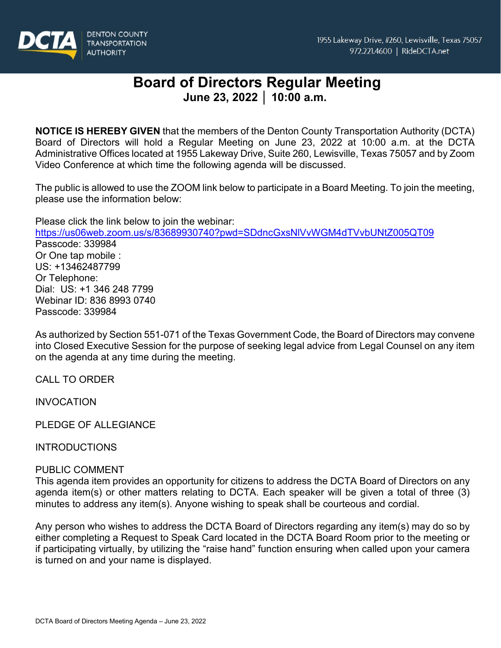

# **Board of Directors Regular Meeting June 23, 2022 │ 10:00 a.m.**

**NOTICE IS HEREBY GIVEN** that the members of the Denton County Transportation Authority (DCTA) Board of Directors will hold a Regular Meeting on June 23, 2022 at 10:00 a.m. at the DCTA Administrative Offices located at 1955 Lakeway Drive, Suite 260, Lewisville, Texas 75057 and by Zoom Video Conference at which time the following agenda will be discussed.

The public is allowed to use the ZOOM link below to participate in a Board Meeting. To join the meeting, please use the information below:

Please click the link below to join the webinar:

<https://us06web.zoom.us/s/83689930740?pwd=SDdncGxsNlVvWGM4dTVvbUNtZ005QT09> Passcode: 339984 Or One tap mobile : US: +13462487799 Or Telephone: Dial: US: +1 346 248 7799 Webinar ID: 836 8993 0740 Passcode: 339984

As authorized by Section 551-071 of the Texas Government Code, the Board of Directors may convene into Closed Executive Session for the purpose of seeking legal advice from Legal Counsel on any item on the agenda at any time during the meeting.

CALL TO ORDER

INVOCATION

PLEDGE OF ALLEGIANCE

## **INTRODUCTIONS**

## PUBLIC COMMENT

This agenda item provides an opportunity for citizens to address the DCTA Board of Directors on any agenda item(s) or other matters relating to DCTA. Each speaker will be given a total of three (3) minutes to address any item(s). Anyone wishing to speak shall be courteous and cordial.

Any person who wishes to address the DCTA Board of Directors regarding any item(s) may do so by either completing a Request to Speak Card located in the DCTA Board Room prior to the meeting or if participating virtually, by utilizing the "raise hand" function ensuring when called upon your camera is turned on and your name is displayed.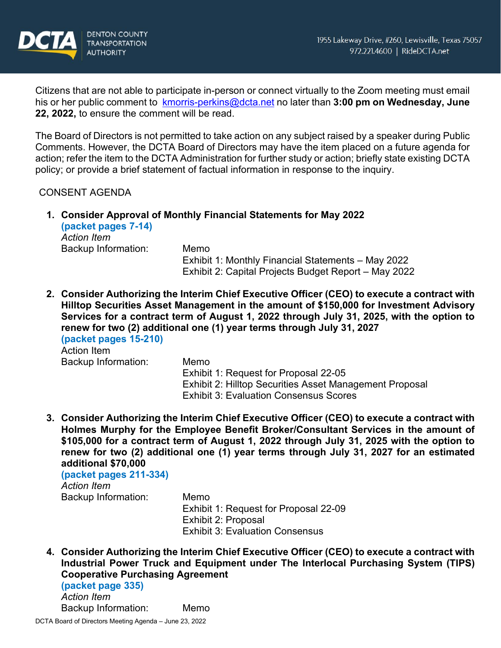

Citizens that are not able to participate in-person or connect virtually to the Zoom meeting must email his or her public comment to [kmorris-perkins@dcta.net](mailto:kmorris-perkins@dcta.net) no later than **3:00 pm on Wednesday, June 22, 2022,** to ensure the comment will be read.

The Board of Directors is not permitted to take action on any subject raised by a speaker during Public Comments. However, the DCTA Board of Directors may have the item placed on a future agenda for action; refer the item to the DCTA Administration for further study or action; briefly state existing DCTA policy; or provide a brief statement of factual information in response to the inquiry.

## CONSENT AGENDA

**1. Consider Approval of Monthly Financial Statements for May 2022 (packet pages 7-14)**

*Action Item* Backup Information: Memo

Exhibit 1: Monthly Financial Statements – May 2022 Exhibit 2: Capital Projects Budget Report – May 2022

**2. Consider Authorizing the Interim Chief Executive Officer (CEO) to execute a contract with Hilltop Securities Asset Management in the amount of \$150,000 for Investment Advisory Services for a contract term of August 1, 2022 through July 31, 2025, with the option to renew for two (2) additional one (1) year terms through July 31, 2027 (packet pages 15-210)**

Action Item Backup Information: Memo

Exhibit 1: Request for Proposal 22-05 Exhibit 2: Hilltop Securities Asset Management Proposal Exhibit 3: Evaluation Consensus Scores

**3. Consider Authorizing the Interim Chief Executive Officer (CEO) to execute a contract with Holmes Murphy for the Employee Benefit Broker/Consultant Services in the amount of \$105,000 for a contract term of August 1, 2022 through July 31, 2025 with the option to renew for two (2) additional one (1) year terms through July 31, 2027 for an estimated additional \$70,000**

**(packet pages 211-334)** *Action Item* Backup Information: Memo

Exhibit 1: Request for Proposal 22-09 Exhibit 2: Proposal Exhibit 3: Evaluation Consensus

**4. Consider Authorizing the Interim Chief Executive Officer (CEO) to execute a contract with Industrial Power Truck and Equipment under The Interlocal Purchasing System (TIPS) Cooperative Purchasing Agreement**

**(packet page 335)** *Action Item* Backup Information: Memo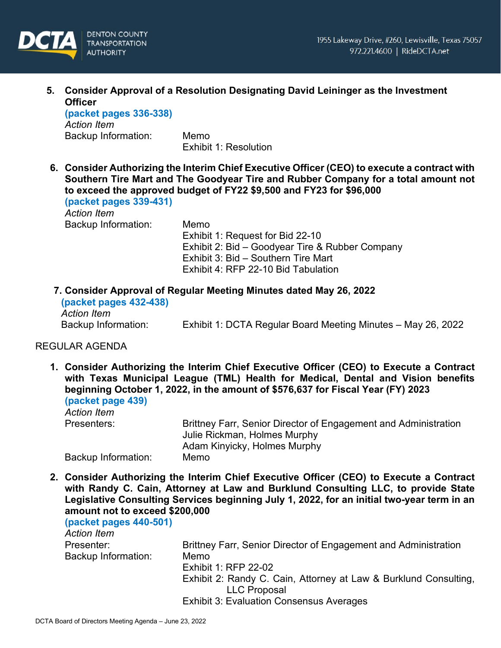

**5. Consider Approval of a Resolution Designating David Leininger as the Investment Officer**

**(packet pages 336-338)** *Action Item* Backup Information: Memo

Exhibit 1: Resolution

**6. Consider Authorizing the Interim Chief Executive Officer (CEO) to execute a contract with Southern Tire Mart and The Goodyear Tire and Rubber Company for a total amount not to exceed the approved budget of FY22 \$9,500 and FY23 for \$96,000**

**(packet pages 339-431)** *Action Item* Backup Information: Memo

Exhibit 1: Request for Bid 22-10 Exhibit 2: Bid – Goodyear Tire & Rubber Company Exhibit 3: Bid – Southern Tire Mart Exhibit 4: RFP 22-10 Bid Tabulation

**7. Consider Approval of Regular Meeting Minutes dated May 26, 2022**

**(packet pages 432-438)** *Action Item*

Backup Information: Exhibit 1: DCTA Regular Board Meeting Minutes – May 26, 2022

## REGULAR AGENDA

**1. Consider Authorizing the Interim Chief Executive Officer (CEO) to Execute a Contract with Texas Municipal League (TML) Health for Medical, Dental and Vision benefits beginning October 1, 2022, in the amount of \$576,637 for Fiscal Year (FY) 2023 (packet page 439)**

| Action Item         |                                                                 |
|---------------------|-----------------------------------------------------------------|
| Presenters:         | Brittney Farr, Senior Director of Engagement and Administration |
|                     | Julie Rickman, Holmes Murphy                                    |
|                     | Adam Kinyicky, Holmes Murphy                                    |
| Backup Information: | Memo                                                            |

**2. Consider Authorizing the Interim Chief Executive Officer (CEO) to Execute a Contract with Randy C. Cain, Attorney at Law and Burklund Consulting LLC, to provide State Legislative Consulting Services beginning July 1, 2022, for an initial two-year term in an amount not to exceed \$200,000**

| $(packet pages 440-501)$<br><b>Action Item</b> |                                                                  |
|------------------------------------------------|------------------------------------------------------------------|
| Presenter:                                     | Brittney Farr, Senior Director of Engagement and Administration  |
| Backup Information:                            | Memo                                                             |
|                                                | Exhibit 1: RFP 22-02                                             |
|                                                | Exhibit 2: Randy C. Cain, Attorney at Law & Burklund Consulting, |
|                                                | <b>LLC Proposal</b>                                              |
|                                                | <b>Exhibit 3: Evaluation Consensus Averages</b>                  |
|                                                |                                                                  |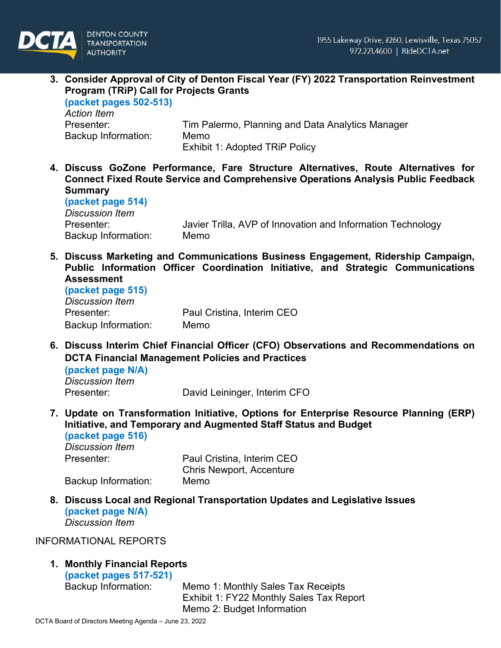## **3. Consider Approval of City of Denton Fiscal Year (FY) 2022 Transportation Reinvestment Program (TRiP) Call for Projects Grants (packet pages 502-513)**

*Action Item* Presenter: Tim Palermo, Planning and Data Analytics Manager Backup Information: Memo Exhibit 1: Adopted TRiP Policy

**4. Discuss GoZone Performance, Fare Structure Alternatives, Route Alternatives for Connect Fixed Route Service and Comprehensive Operations Analysis Public Feedback Summary (packet page 514)**

*Discussion Item* Backup Information: Memo

Presenter: Javier Trilla, AVP of Innovation and Information Technology

**5. Discuss Marketing and Communications Business Engagement, Ridership Campaign, Public Information Officer Coordination Initiative, and Strategic Communications Assessment**

| (packet page 515)      |                            |
|------------------------|----------------------------|
| <b>Discussion Item</b> |                            |
| Presenter:             | Paul Cristina, Interim CEO |
| Backup Information:    | Memo                       |

**6. Discuss Interim Chief Financial Officer (CFO) Observations and Recommendations on DCTA Financial Management Policies and Practices**

**(packet page N/A)** *Discussion Item*

Presenter: David Leininger, Interim CFO

**7. Update on Transformation Initiative, Options for Enterprise Resource Planning (ERP) Initiative, and Temporary and Augmented Staff Status and Budget (packet page 516)**

*Discussion Item*

Presenter: Paul Cristina, Interim CEO Chris Newport, Accenture Backup Information: Memo

**8. Discuss Local and Regional Transportation Updates and Legislative Issues (packet page N/A)** *Discussion Item*

INFORMATIONAL REPORTS

## **1. Monthly Financial Reports**

**(packet pages 517-521)**

Memo 1: Monthly Sales Tax Receipts Exhibit 1: FY22 Monthly Sales Tax Report Memo 2: Budget Information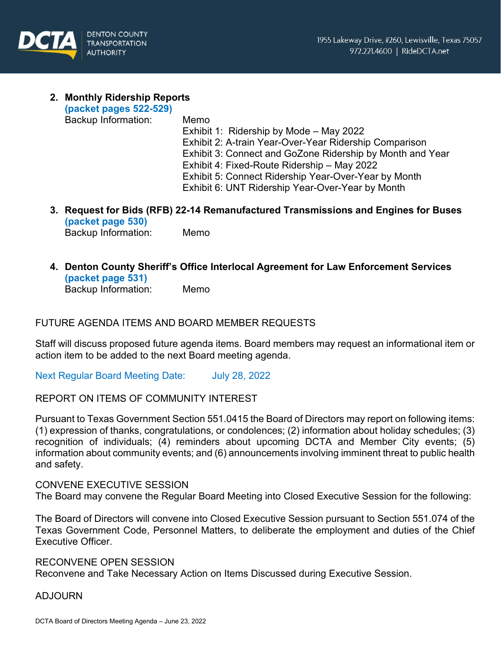

## **2. Monthly Ridership Reports**

**(packet pages 522-529)**

Backup Information: Memo

Exhibit 1: Ridership by Mode – May 2022 Exhibit 2: A-train Year-Over-Year Ridership Comparison Exhibit 3: Connect and GoZone Ridership by Month and Year Exhibit 4: Fixed-Route Ridership – May 2022 Exhibit 5: Connect Ridership Year-Over-Year by Month Exhibit 6: UNT Ridership Year-Over-Year by Month

**3. Request for Bids (RFB) 22-14 Remanufactured Transmissions and Engines for Buses (packet page 530)** Backup Information: Memo

**4. Denton County Sheriff's Office Interlocal Agreement for Law Enforcement Services (packet page 531)** Backup Information: Memo

FUTURE AGENDA ITEMS AND BOARD MEMBER REQUESTS

Staff will discuss proposed future agenda items. Board members may request an informational item or action item to be added to the next Board meeting agenda.

Next Regular Board Meeting Date: July 28, 2022

## REPORT ON ITEMS OF COMMUNITY INTEREST

Pursuant to Texas Government Section 551.0415 the Board of Directors may report on following items: (1) expression of thanks, congratulations, or condolences; (2) information about holiday schedules; (3) recognition of individuals; (4) reminders about upcoming DCTA and Member City events; (5) information about community events; and (6) announcements involving imminent threat to public health and safety.

## CONVENE EXECUTIVE SESSION

The Board may convene the Regular Board Meeting into Closed Executive Session for the following:

The Board of Directors will convene into Closed Executive Session pursuant to Section 551.074 of the Texas Government Code, Personnel Matters, to deliberate the employment and duties of the Chief Executive Officer.

### RECONVENE OPEN SESSION

Reconvene and Take Necessary Action on Items Discussed during Executive Session.

### ADJOURN